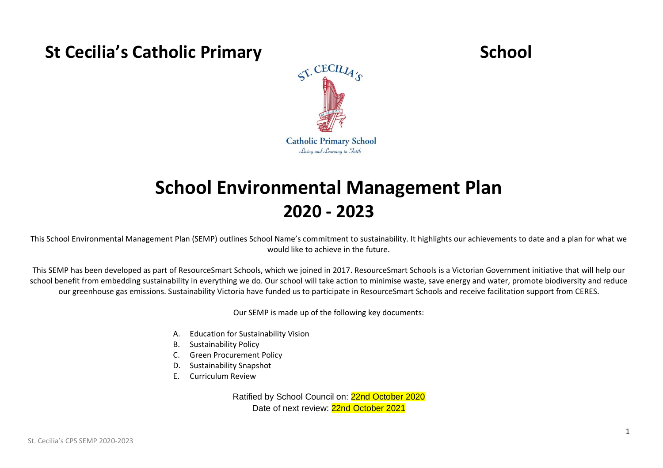# **St Cecilia's Catholic Primary School**<br>  $S^{\text{CECIL}}_{\text{A}}$



## **School Environmental Management Plan 2020 - 2023**

This School Environmental Management Plan (SEMP) outlines School Name's commitment to sustainability. It highlights our achievements to date and a plan for what we would like to achieve in the future.

This SEMP has been developed as part of ResourceSmart Schools, which we joined in 2017. ResourceSmart Schools is a Victorian Government initiative that will help our school benefit from embedding sustainability in everything we do. Our school will take action to minimise waste, save energy and water, promote biodiversity and reduce our greenhouse gas emissions. Sustainability Victoria have funded us to participate in ResourceSmart Schools and receive facilitation support from CERES.

Our SEMP is made up of the following key documents:

- A. Education for Sustainability Vision
- B. Sustainability Policy
- C. Green Procurement Policy
- D. Sustainability Snapshot
- E. Curriculum Review

Ratified by School Council on: 22nd October 2020 Date of next review: 22nd October 2021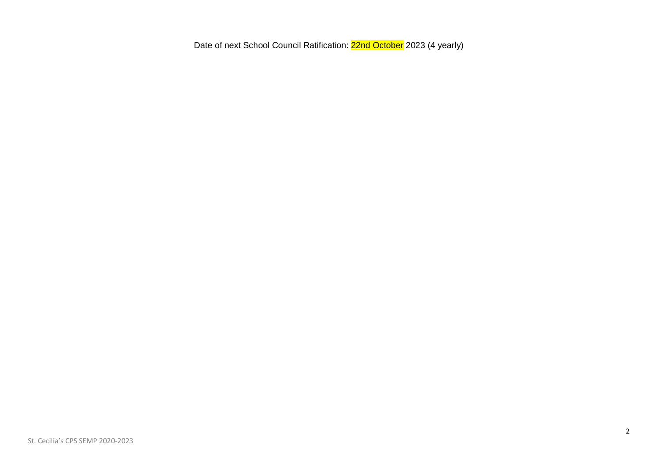Date of next School Council Ratification: 22nd October 2023 (4 yearly)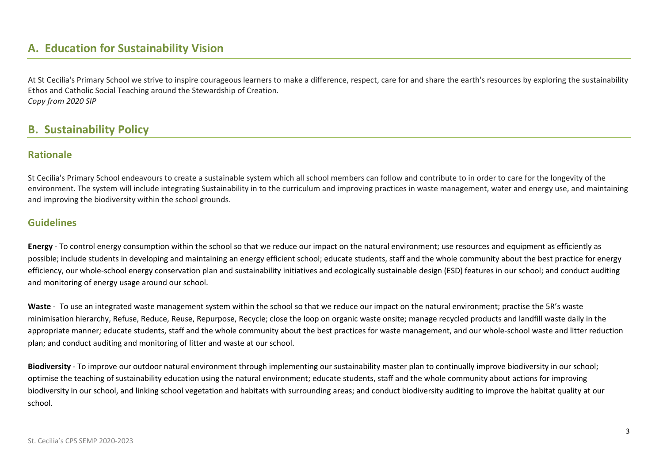## **A. Education for Sustainability Vision**

At St Cecilia's Primary School we strive to inspire courageous learners to make a difference, respect, care for and share the earth's resources by exploring the sustainability Ethos and Catholic Social Teaching around the Stewardship of Creation*. Copy from 2020 SIP*

### **B. Sustainability Policy**

#### **Rationale**

St Cecilia's Primary School endeavours to create a sustainable system which all school members can follow and contribute to in order to care for the longevity of the environment. The system will include integrating Sustainability in to the curriculum and improving practices in waste management, water and energy use, and maintaining and improving the biodiversity within the school grounds.

#### **Guidelines**

**Energy** - To control energy consumption within the school so that we reduce our impact on the natural environment; use resources and equipment as efficiently as possible; include students in developing and maintaining an energy efficient school; educate students, staff and the whole community about the best practice for energy efficiency, our whole-school energy conservation plan and sustainability initiatives and ecologically sustainable design (ESD) features in our school; and conduct auditing and monitoring of energy usage around our school.

**Waste** - To use an integrated waste management system within the school so that we reduce our impact on the natural environment; practise the 5R's waste minimisation hierarchy, Refuse, Reduce, Reuse, Repurpose, Recycle; close the loop on organic waste onsite; manage recycled products and landfill waste daily in the appropriate manner; educate students, staff and the whole community about the best practices for waste management, and our whole-school waste and litter reduction plan; and conduct auditing and monitoring of litter and waste at our school.

**Biodiversity** - To improve our outdoor natural environment through implementing our sustainability master plan to continually improve biodiversity in our school; optimise the teaching of sustainability education using the natural environment; educate students, staff and the whole community about actions for improving biodiversity in our school, and linking school vegetation and habitats with surrounding areas; and conduct biodiversity auditing to improve the habitat quality at our school.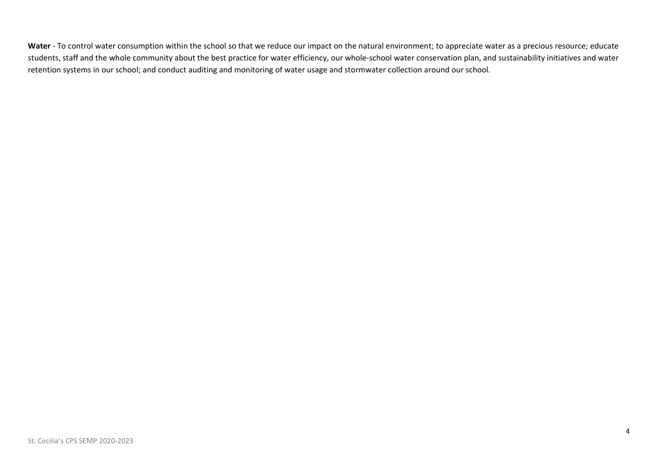Water - To control water consumption within the school so that we reduce our impact on the natural environment; to appreciate water as a precious resource; educate students, staff and the whole community about the best practice for water efficiency, our whole-school water conservation plan, and sustainability initiatives and water retention systems in our school; and conduct auditing and monitoring of water usage and stormwater collection around our school.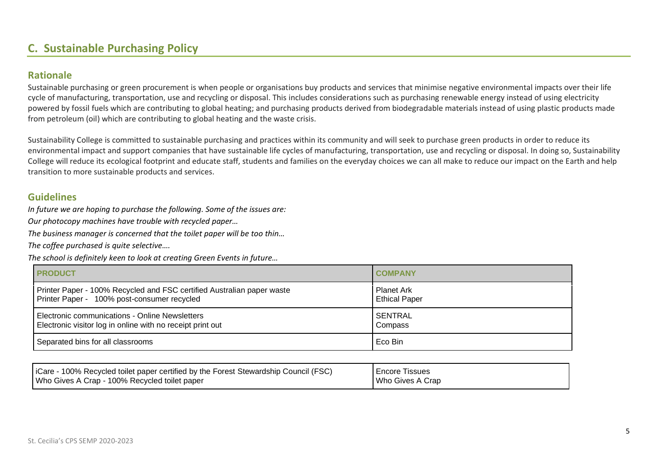## **C. Sustainable Purchasing Policy**

#### **Rationale**

Sustainable purchasing or green procurement is when people or organisations buy products and services that minimise negative environmental impacts over their life cycle of manufacturing, transportation, use and recycling or disposal. This includes considerations such as purchasing renewable energy instead of using electricity powered by fossil fuels which are contributing to global heating; and purchasing products derived from biodegradable materials instead of using plastic products made from petroleum (oil) which are contributing to global heating and the waste crisis.

Sustainability College is committed to sustainable purchasing and practices within its community and will seek to purchase green products in order to reduce its environmental impact and support companies that have sustainable life cycles of manufacturing, transportation, use and recycling or disposal. In doing so, Sustainability College will reduce its ecological footprint and educate staff, students and families on the everyday choices we can all make to reduce our impact on the Earth and help transition to more sustainable products and services.

#### **Guidelines**

*In future we are hoping to purchase the following. Some of the issues are:*

*Our photocopy machines have trouble with recycled paper…*

*The business manager is concerned that the toilet paper will be too thin…*

*The coffee purchased is quite selective….*

*The school is definitely keen to look at creating Green Events in future…*

| <b>I PRODUCT</b>                                                       | <b>I COMPANY</b>     |
|------------------------------------------------------------------------|----------------------|
| Printer Paper - 100% Recycled and FSC certified Australian paper waste | Planet Ark           |
| Printer Paper - 100% post-consumer recycled                            | <b>Ethical Paper</b> |
| Electronic communications - Online Newsletters                         | <b>SENTRAL</b>       |
| Electronic visitor log in online with no receipt print out             | Compass              |
| Separated bins for all classrooms                                      | Eco Bin              |

| iCare - 100% Recycled toilet paper certified by the Forest Stewardship Council (FSC) | <b>Encore Tissues</b> |
|--------------------------------------------------------------------------------------|-----------------------|
| Who Gives A Crap - 100% Recycled toilet paper                                        | Who Gives A Crap      |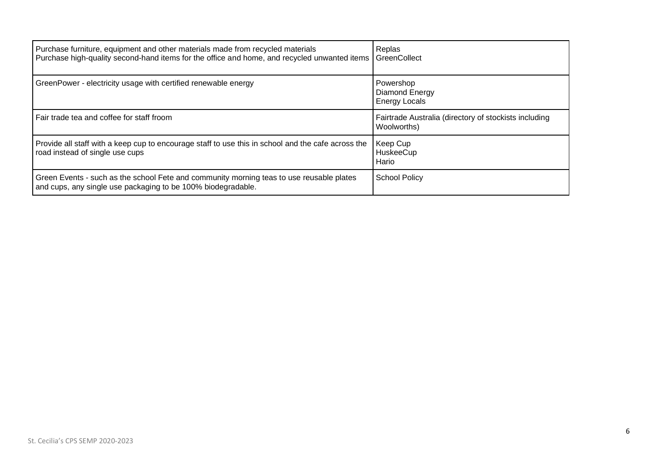| Purchase furniture, equipment and other materials made from recycled materials<br>Purchase high-quality second-hand items for the office and home, and recycled unwanted items | Replas<br>GreenCollect                                               |
|--------------------------------------------------------------------------------------------------------------------------------------------------------------------------------|----------------------------------------------------------------------|
| GreenPower - electricity usage with certified renewable energy                                                                                                                 | Powershop<br>Diamond Energy<br><b>Energy Locals</b>                  |
| Fair trade tea and coffee for staff froom                                                                                                                                      | Fairtrade Australia (directory of stockists including<br>Woolworths) |
| Provide all staff with a keep cup to encourage staff to use this in school and the cafe across the<br>road instead of single use cups                                          | Keep Cup<br>HuskeeCup<br>Hario                                       |
| Green Events - such as the school Fete and community morning teas to use reusable plates<br>and cups, any single use packaging to be 100% biodegradable.                       | <b>School Policy</b>                                                 |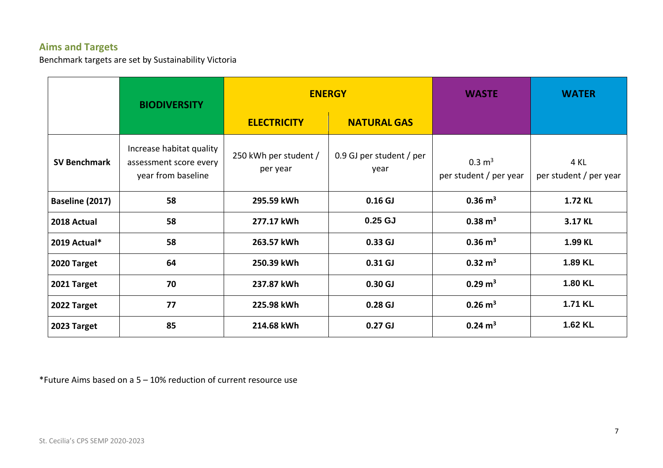## **Aims and Targets**

Benchmark targets are set by Sustainability Victoria

|                     | <b>BIODIVERSITY</b>                                                      | <b>ENERGY</b>                     |                                  | <b>WASTE</b>                                | <b>WATER</b>                   |
|---------------------|--------------------------------------------------------------------------|-----------------------------------|----------------------------------|---------------------------------------------|--------------------------------|
|                     |                                                                          | <b>ELECTRICITY</b>                | <b>NATURAL GAS</b>               |                                             |                                |
| <b>SV Benchmark</b> | Increase habitat quality<br>assessment score every<br>year from baseline | 250 kWh per student /<br>per year | 0.9 GJ per student / per<br>year | $0.3 \text{ m}^3$<br>per student / per year | 4 KL<br>per student / per year |
| Baseline (2017)     | 58                                                                       | 295.59 kWh                        | 0.16 <sub>GI</sub>               | $0.36 \text{ m}^3$                          | 1.72 KL                        |
| 2018 Actual         | 58                                                                       | 277.17 kWh                        | $0.25$ GJ                        | $0.38 \text{ m}^3$                          | 3.17 KL                        |
| 2019 Actual*        | 58                                                                       | 263.57 kWh                        | 0.33 <sub>GI</sub>               | $0.36 \text{ m}^3$                          | 1.99 KL                        |
| 2020 Target         | 64                                                                       | 250.39 kWh                        | $0.31$ GJ                        | $0.32 \text{ m}^3$                          | 1.89 KL                        |
| 2021 Target         | 70                                                                       | 237.87 kWh                        | 0.30 <sub>GI</sub>               | $0.29 \text{ m}^3$                          | 1.80 KL                        |
| 2022 Target         | 77                                                                       | 225.98 kWh                        | 0.28 <sub>GJ</sub>               | $0.26 \text{ m}^3$                          | 1.71 KL                        |
| 2023 Target         | 85                                                                       | 214.68 kWh                        | 0.27 <sub>GJ</sub>               | $0.24 \text{ m}^3$                          | 1.62 KL                        |

\*Future Aims based on a 5 – 10% reduction of current resource use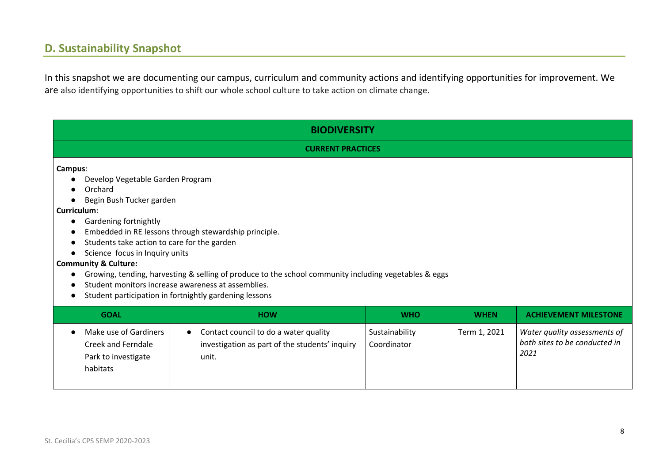## **D. Sustainability Snapshot**

In this snapshot we are documenting our campus, curriculum and community actions and identifying opportunities for improvement. We are also identifying opportunities to shift our whole school culture to take action on climate change.

|                                                                                                                                                                                                                                                                                                                                                                                                                                                                                                                                  | <b>BIODIVERSITY</b>      |            |             |                              |  |  |
|----------------------------------------------------------------------------------------------------------------------------------------------------------------------------------------------------------------------------------------------------------------------------------------------------------------------------------------------------------------------------------------------------------------------------------------------------------------------------------------------------------------------------------|--------------------------|------------|-------------|------------------------------|--|--|
|                                                                                                                                                                                                                                                                                                                                                                                                                                                                                                                                  | <b>CURRENT PRACTICES</b> |            |             |                              |  |  |
| Campus:<br>Develop Vegetable Garden Program<br>Orchard<br>Begin Bush Tucker garden<br>Curriculum:<br>Gardening fortnightly<br>Embedded in RE lessons through stewardship principle.<br>Students take action to care for the garden<br>Science focus in Inquiry units<br><b>Community &amp; Culture:</b><br>Growing, tending, harvesting & selling of produce to the school community including vegetables & eggs<br>Student monitors increase awareness at assemblies.<br>Student participation in fortnightly gardening lessons |                          |            |             |                              |  |  |
| <b>GOAL</b>                                                                                                                                                                                                                                                                                                                                                                                                                                                                                                                      | <b>HOW</b>               | <b>WHO</b> | <b>WHEN</b> | <b>ACHIEVEMENT MILESTONE</b> |  |  |
| Make use of Gardiners<br>Contact council to do a water quality<br>Term 1, 2021<br>Water quality assessments of<br>Sustainability<br>$\bullet$<br>both sites to be conducted in<br><b>Creek and Ferndale</b><br>investigation as part of the students' inquiry<br>Coordinator<br>2021<br>Park to investigate<br>unit.<br>habitats                                                                                                                                                                                                 |                          |            |             |                              |  |  |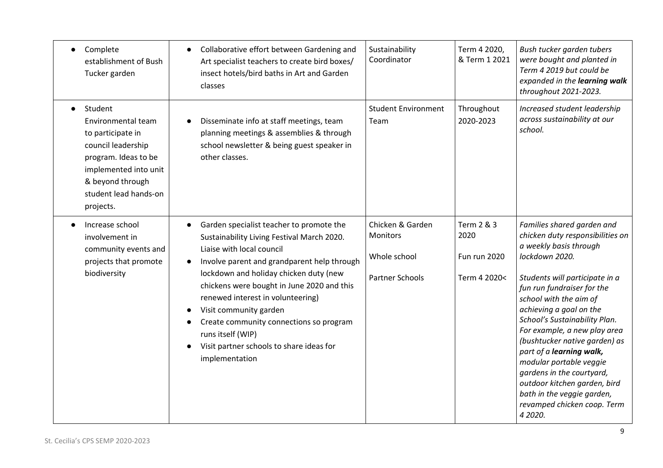| $\bullet$ | Complete<br>establishment of Bush<br>Tucker garden                                                                                                                                  | Collaborative effort between Gardening and<br>Art specialist teachers to create bird boxes/<br>insect hotels/bird baths in Art and Garden<br>classes                                                                                                                                                                                                                                                                                                    | Sustainability<br>Coordinator                                                 | Term 4 2020,<br>& Term 1 2021                             | Bush tucker garden tubers<br>were bought and planted in<br>Term 4 2019 but could be<br>expanded in the learning walk<br>throughout 2021-2023.                                                                                                                                                                                                                                                                                                                                                                                 |
|-----------|-------------------------------------------------------------------------------------------------------------------------------------------------------------------------------------|---------------------------------------------------------------------------------------------------------------------------------------------------------------------------------------------------------------------------------------------------------------------------------------------------------------------------------------------------------------------------------------------------------------------------------------------------------|-------------------------------------------------------------------------------|-----------------------------------------------------------|-------------------------------------------------------------------------------------------------------------------------------------------------------------------------------------------------------------------------------------------------------------------------------------------------------------------------------------------------------------------------------------------------------------------------------------------------------------------------------------------------------------------------------|
|           | Student<br>Environmental team<br>to participate in<br>council leadership<br>program. Ideas to be<br>implemented into unit<br>& beyond through<br>student lead hands-on<br>projects. | Disseminate info at staff meetings, team<br>planning meetings & assemblies & through<br>school newsletter & being guest speaker in<br>other classes.                                                                                                                                                                                                                                                                                                    | <b>Student Environment</b><br>Team                                            | Throughout<br>2020-2023                                   | Increased student leadership<br>across sustainability at our<br>school.                                                                                                                                                                                                                                                                                                                                                                                                                                                       |
|           | Increase school<br>involvement in<br>community events and<br>projects that promote<br>biodiversity                                                                                  | Garden specialist teacher to promote the<br>Sustainability Living Festival March 2020.<br>Liaise with local council<br>Involve parent and grandparent help through<br>lockdown and holiday chicken duty (new<br>chickens were bought in June 2020 and this<br>renewed interest in volunteering)<br>Visit community garden<br>Create community connections so program<br>runs itself (WIP)<br>Visit partner schools to share ideas for<br>implementation | Chicken & Garden<br><b>Monitors</b><br>Whole school<br><b>Partner Schools</b> | Term 2 & 3<br>2020<br><b>Fun run 2020</b><br>Term 4 2020< | Families shared garden and<br>chicken duty responsibilities on<br>a weekly basis through<br>lockdown 2020.<br>Students will participate in a<br>fun run fundraiser for the<br>school with the aim of<br>achieving a goal on the<br>School's Sustainability Plan.<br>For example, a new play area<br>(bushtucker native garden) as<br>part of a learning walk,<br>modular portable veggie<br>gardens in the courtyard,<br>outdoor kitchen garden, bird<br>bath in the veggie garden,<br>revamped chicken coop. Term<br>4 2020. |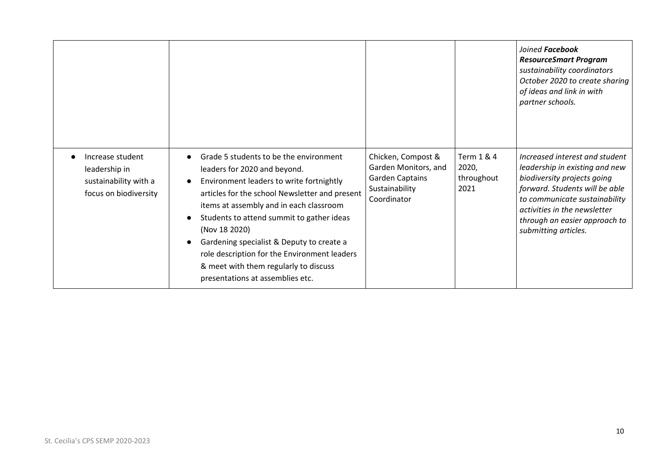|                                                                                     |                                                                                                                                                                                                                                                                                                                                                                                                                                                                      |                                                                                                       |                                           | Joined Facebook<br><b>ResourceSmart Program</b><br>sustainability coordinators<br>October 2020 to create sharing<br>of ideas and link in with<br>partner schools.                                                                                           |
|-------------------------------------------------------------------------------------|----------------------------------------------------------------------------------------------------------------------------------------------------------------------------------------------------------------------------------------------------------------------------------------------------------------------------------------------------------------------------------------------------------------------------------------------------------------------|-------------------------------------------------------------------------------------------------------|-------------------------------------------|-------------------------------------------------------------------------------------------------------------------------------------------------------------------------------------------------------------------------------------------------------------|
| Increase student<br>leadership in<br>sustainability with a<br>focus on biodiversity | Grade 5 students to be the environment<br>leaders for 2020 and beyond.<br>Environment leaders to write fortnightly<br>$\bullet$<br>articles for the school Newsletter and present<br>items at assembly and in each classroom<br>Students to attend summit to gather ideas<br>(Nov 18 2020)<br>Gardening specialist & Deputy to create a<br>role description for the Environment leaders<br>& meet with them regularly to discuss<br>presentations at assemblies etc. | Chicken, Compost &<br>Garden Monitors, and<br><b>Garden Captains</b><br>Sustainability<br>Coordinator | Term 1 & 4<br>2020,<br>throughout<br>2021 | Increased interest and student<br>leadership in existing and new<br>biodiversity projects going<br>forward. Students will be able<br>to communicate sustainability<br>activities in the newsletter<br>through an easier approach to<br>submitting articles. |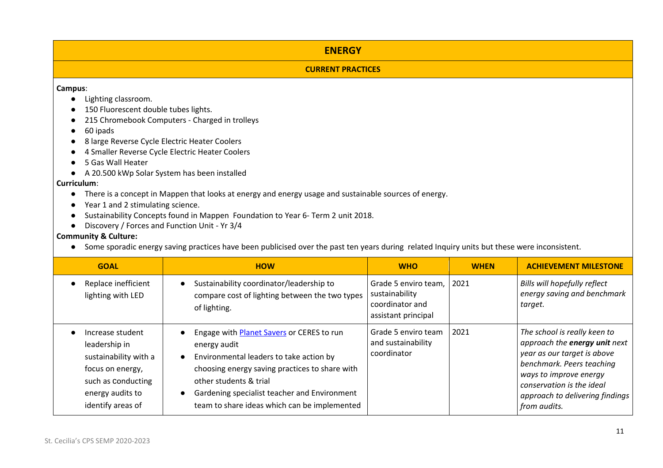#### **ENERGY**

#### **CURRENT PRACTICES**

#### **Campus**:

- Lighting classroom.
- 150 Fluorescent double tubes lights.
- 215 Chromebook Computers Charged in trolleys
- 60 ipads
- 8 large Reverse Cycle Electric Heater Coolers
- 4 Smaller Reverse Cycle Electric Heater Coolers
- 5 Gas Wall Heater
- A 20.500 kWp Solar System has been installed

#### **Curriculum**:

- There is a concept in Mappen that looks at energy and energy usage and sustainable sources of energy.
- Year 1 and 2 stimulating science.
- Sustainability Concepts found in Mappen Foundation to Year 6- Term 2 unit 2018.
- Discovery / Forces and Function Unit Yr 3/4

#### **Community & Culture:**

● Some sporadic energy saving practices have been publicised over the past ten years during related Inquiry units but these were inconsistent.

| <b>GOAL</b>                                                                                                                                   | <b>HOW</b>                                                                                                                                                                                                                                                                                           | <b>WHO</b>                                                                       | <b>WHEN</b> | <b>ACHIEVEMENT MILESTONE</b>                                                                                                                                                                                                        |
|-----------------------------------------------------------------------------------------------------------------------------------------------|------------------------------------------------------------------------------------------------------------------------------------------------------------------------------------------------------------------------------------------------------------------------------------------------------|----------------------------------------------------------------------------------|-------------|-------------------------------------------------------------------------------------------------------------------------------------------------------------------------------------------------------------------------------------|
| Replace inefficient<br>lighting with LED                                                                                                      | Sustainability coordinator/leadership to<br>compare cost of lighting between the two types<br>of lighting.                                                                                                                                                                                           | Grade 5 enviro team,<br>sustainability<br>coordinator and<br>assistant principal | 2021        | Bills will hopefully reflect<br>energy saving and benchmark<br>target.                                                                                                                                                              |
| Increase student<br>leadership in<br>sustainability with a<br>focus on energy,<br>such as Conducting<br>energy audits to<br>identify areas of | Engage with <b>Planet Savers</b> or CERES to run<br>energy audit<br>Environmental leaders to take action by<br>$\bullet$<br>choosing energy saving practices to share with<br>other students & trial<br>Gardening specialist teacher and Environment<br>team to share ideas which can be implemented | Grade 5 enviro team<br>and sustainability<br>coordinator                         | 2021        | The school is really keen to<br>approach the energy unit next<br>year as our target is above<br>benchmark. Peers teaching<br>ways to improve energy<br>conservation is the ideal<br>approach to delivering findings<br>from audits. |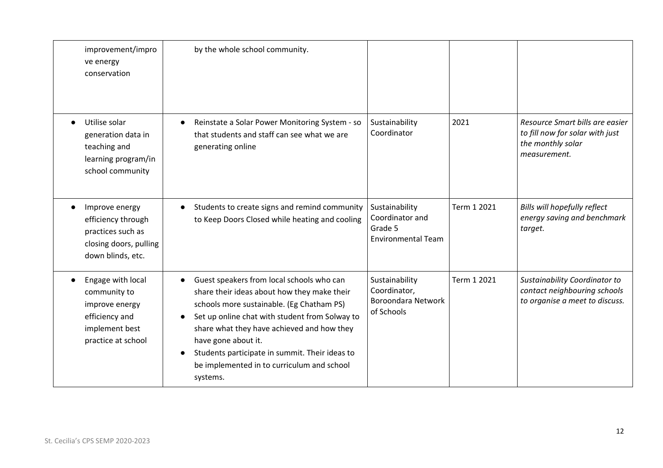| improvement/impro<br>ve energy<br>conservation                                                                | by the whole school community.                                                                                                                                                                                                                                                                                                                                                        |                                                                           |             |                                                                                                         |
|---------------------------------------------------------------------------------------------------------------|---------------------------------------------------------------------------------------------------------------------------------------------------------------------------------------------------------------------------------------------------------------------------------------------------------------------------------------------------------------------------------------|---------------------------------------------------------------------------|-------------|---------------------------------------------------------------------------------------------------------|
| Utilise solar<br>generation data in<br>teaching and<br>learning program/in<br>school community                | Reinstate a Solar Power Monitoring System - so<br>that students and staff can see what we are<br>generating online                                                                                                                                                                                                                                                                    | Sustainability<br>Coordinator                                             | 2021        | Resource Smart bills are easier<br>to fill now for solar with just<br>the monthly solar<br>measurement. |
| Improve energy<br>efficiency through<br>practices such as<br>closing doors, pulling<br>down blinds, etc.      | Students to create signs and remind community<br>to Keep Doors Closed while heating and cooling                                                                                                                                                                                                                                                                                       | Sustainability<br>Coordinator and<br>Grade 5<br><b>Environmental Team</b> | Term 1 2021 | Bills will hopefully reflect<br>energy saving and benchmark<br>target.                                  |
| Engage with local<br>community to<br>improve energy<br>efficiency and<br>implement best<br>practice at school | Guest speakers from local schools who can<br>share their ideas about how they make their<br>schools more sustainable. (Eg Chatham PS)<br>Set up online chat with student from Solway to<br>share what they have achieved and how they<br>have gone about it.<br>Students participate in summit. Their ideas to<br>$\bullet$<br>be implemented in to curriculum and school<br>systems. | Sustainability<br>Coordinator,<br><b>Boroondara Network</b><br>of Schools | Term 1 2021 | Sustainability Coordinator to<br>contact neighbouring schools<br>to organise a meet to discuss.         |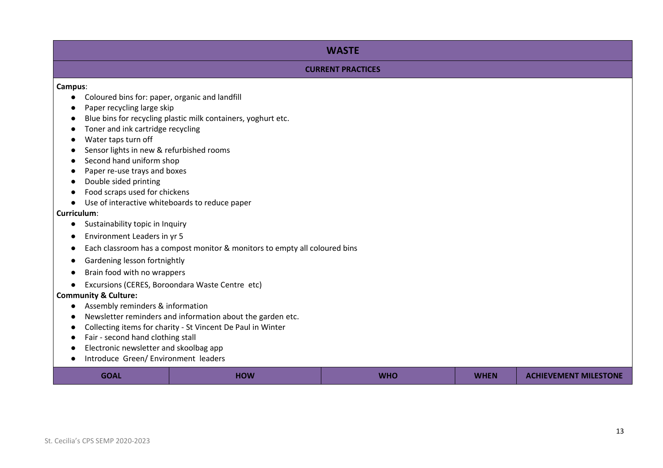#### **WASTE**

#### **CURRENT PRACTICES**

**Campus**:

- Coloured bins for: paper, organic and landfill
- Paper recycling large skip
- Blue bins for recycling plastic milk containers, yoghurt etc.
- Toner and ink cartridge recycling
- Water taps turn off
- Sensor lights in new & refurbished rooms
- Second hand uniform shop
- Paper re-use trays and boxes
- Double sided printing
- Food scraps used for chickens
- Use of interactive whiteboards to reduce paper

#### **Curriculum**:

- Sustainability topic in Inquiry
- Environment Leaders in yr 5
- Each classroom has a compost monitor & monitors to empty all coloured bins
- Gardening lesson fortnightly
- Brain food with no wrappers
- Excursions (CERES, Boroondara Waste Centre etc)

#### **Community & Culture:**

- Assembly reminders & information
- Newsletter reminders and information about the garden etc.
- Collecting items for charity St Vincent De Paul in Winter
- Fair second hand clothing stall
- Electronic newsletter and skoolbag app
- Introduce Green/ Environment leaders

| <b>GOAL</b> | HOW | <b>WHC</b> | <b>WHEN</b> | <b>ACHIEVEMENT MILESTONE</b> |
|-------------|-----|------------|-------------|------------------------------|
|-------------|-----|------------|-------------|------------------------------|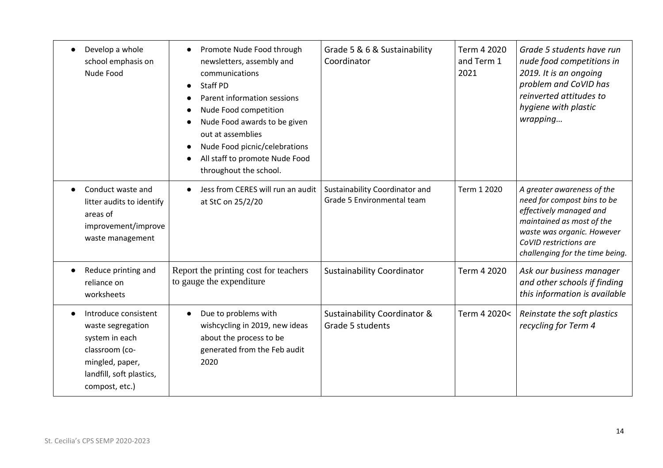| Develop a whole<br>school emphasis on<br>Nude Food                                                                                             | Promote Nude Food through<br>$\bullet$<br>newsletters, assembly and<br>communications<br><b>Staff PD</b><br>$\bullet$<br>Parent information sessions<br>Nude Food competition<br>Nude Food awards to be given<br>out at assemblies<br>Nude Food picnic/celebrations<br>$\bullet$<br>All staff to promote Nude Food<br>throughout the school. | Grade 5 & 6 & Sustainability<br>Coordinator                  | Term 4 2020<br>and Term 1<br>2021 | Grade 5 students have run<br>nude food competitions in<br>2019. It is an ongoing<br>problem and CoVID has<br>reinverted attitudes to<br>hygiene with plastic<br>wrapping                                     |
|------------------------------------------------------------------------------------------------------------------------------------------------|----------------------------------------------------------------------------------------------------------------------------------------------------------------------------------------------------------------------------------------------------------------------------------------------------------------------------------------------|--------------------------------------------------------------|-----------------------------------|--------------------------------------------------------------------------------------------------------------------------------------------------------------------------------------------------------------|
| Conduct waste and<br>litter audits to identify<br>areas of<br>improvement/improve<br>waste management                                          | Jess from CERES will run an audit<br>at StC on 25/2/20                                                                                                                                                                                                                                                                                       | Sustainability Coordinator and<br>Grade 5 Environmental team | Term 1 2020                       | A greater awareness of the<br>need for compost bins to be<br>effectively managed and<br>maintained as most of the<br>waste was organic. However<br>CoVID restrictions are<br>challenging for the time being. |
| Reduce printing and<br>reliance on<br>worksheets                                                                                               | Report the printing cost for teachers<br>to gauge the expenditure                                                                                                                                                                                                                                                                            | <b>Sustainability Coordinator</b>                            | Term 4 2020                       | Ask our business manager<br>and other schools if finding<br>this information is available                                                                                                                    |
| Introduce consistent<br>waste segregation<br>system in each<br>classroom (co-<br>mingled, paper,<br>landfill, soft plastics,<br>compost, etc.) | Due to problems with<br>$\bullet$<br>wishcycling in 2019, new ideas<br>about the process to be<br>generated from the Feb audit<br>2020                                                                                                                                                                                                       | Sustainability Coordinator &<br>Grade 5 students             | Term 4 2020<                      | Reinstate the soft plastics<br>recycling for Term 4                                                                                                                                                          |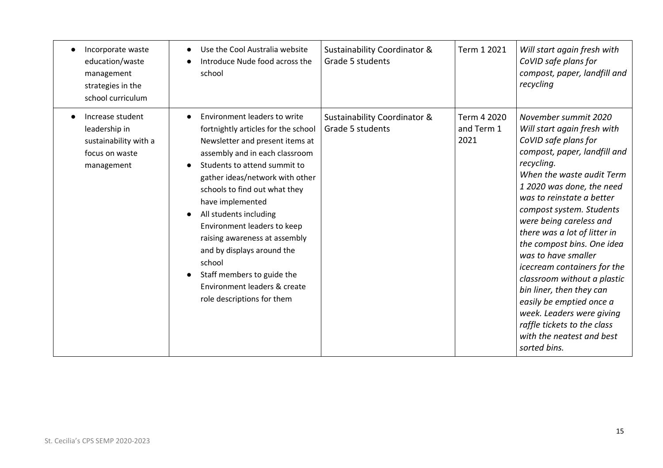| Incorporate waste<br>education/waste<br>management<br>strategies in the<br>school curriculum | Use the Cool Australia website<br>Introduce Nude food across the<br>school                                                                                                                                                                                                                                                                                                                                                                                                                      | Sustainability Coordinator &<br>Grade 5 students | Term 1 2021                       | Will start again fresh with<br>CoVID safe plans for<br>compost, paper, landfill and<br>recycling                                                                                                                                                                                                                                                                                                                                                                                                                                                                                            |
|----------------------------------------------------------------------------------------------|-------------------------------------------------------------------------------------------------------------------------------------------------------------------------------------------------------------------------------------------------------------------------------------------------------------------------------------------------------------------------------------------------------------------------------------------------------------------------------------------------|--------------------------------------------------|-----------------------------------|---------------------------------------------------------------------------------------------------------------------------------------------------------------------------------------------------------------------------------------------------------------------------------------------------------------------------------------------------------------------------------------------------------------------------------------------------------------------------------------------------------------------------------------------------------------------------------------------|
| Increase student<br>leadership in<br>sustainability with a<br>focus on waste<br>management   | Environment leaders to write<br>fortnightly articles for the school<br>Newsletter and present items at<br>assembly and in each classroom.<br>Students to attend summit to<br>gather ideas/network with other<br>schools to find out what they<br>have implemented<br>All students including<br>Environment leaders to keep<br>raising awareness at assembly<br>and by displays around the<br>school<br>Staff members to guide the<br>Environment leaders & create<br>role descriptions for them | Sustainability Coordinator &<br>Grade 5 students | Term 4 2020<br>and Term 1<br>2021 | November summit 2020<br>Will start again fresh with<br>CoVID safe plans for<br>compost, paper, landfill and<br>recycling.<br>When the waste audit Term<br>1 2020 was done, the need<br>was to reinstate a better<br>compost system. Students<br>were being careless and<br>there was a lot of litter in<br>the compost bins. One idea<br>was to have smaller<br>icecream containers for the<br>classroom without a plastic<br>bin liner, then they can<br>easily be emptied once a<br>week. Leaders were giving<br>raffle tickets to the class<br>with the neatest and best<br>sorted bins. |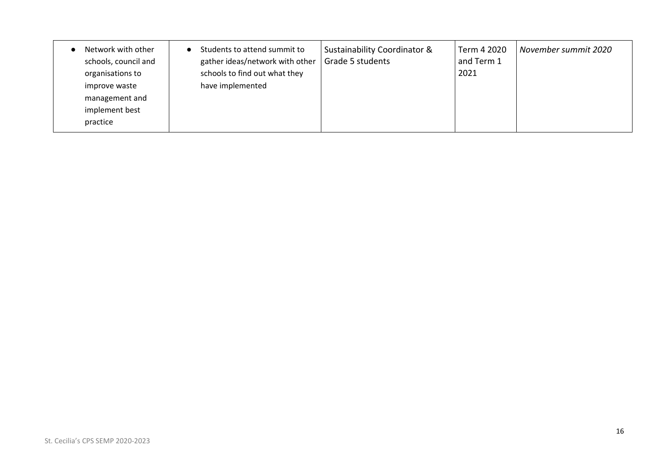| Network with other<br>schools, council and<br>organisations to<br>improve waste<br>management and<br>implement best<br>practice | Students to attend summit to<br>$\bullet$<br>gather ideas/network with other<br>schools to find out what they<br>have implemented | <b>Sustainability Coordinator &amp;</b><br>Grade 5 students | Term 4 2020<br>and Term 1<br>2021 | November summit 2020 |
|---------------------------------------------------------------------------------------------------------------------------------|-----------------------------------------------------------------------------------------------------------------------------------|-------------------------------------------------------------|-----------------------------------|----------------------|
|---------------------------------------------------------------------------------------------------------------------------------|-----------------------------------------------------------------------------------------------------------------------------------|-------------------------------------------------------------|-----------------------------------|----------------------|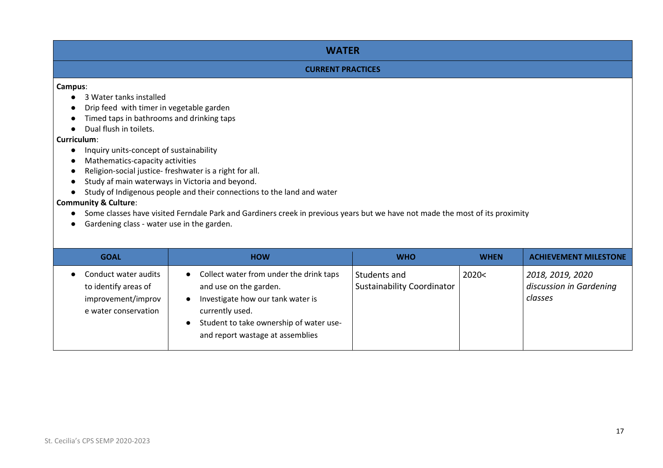#### **WATER**

#### **CURRENT PRACTICES**

#### **Campus**:

- 3 Water tanks installed
- Drip feed with timer in vegetable garden
- Timed taps in bathrooms and drinking taps
- Dual flush in toilets.

#### **Curriculum**:

- Inquiry units-concept of sustainability
- Mathematics-capacity activities
- Religion-social justice- freshwater is a right for all.
- Study af main waterways in Victoria and beyond.
- Study of Indigenous people and their connections to the land and water

#### **Community & Culture**:

- Some classes have visited Ferndale Park and Gardiners creek in previous years but we have not made the most of its proximity
- Gardening class water use in the garden.

| <b>GOAL</b>                                                                                | <b>HOW</b>                                                                                                                                                                                                            | <b>WHO</b>                                        | <b>WHEN</b> | <b>ACHIEVEMENT MILESTONE</b>                           |
|--------------------------------------------------------------------------------------------|-----------------------------------------------------------------------------------------------------------------------------------------------------------------------------------------------------------------------|---------------------------------------------------|-------------|--------------------------------------------------------|
| Conduct water audits<br>to identify areas of<br>improvement/improv<br>e water conservation | Collect water from under the drink taps<br>$\bullet$<br>and use on the garden.<br>Investigate how our tank water is<br>currently used.<br>Student to take ownership of water use-<br>and report wastage at assemblies | Students and<br><b>Sustainability Coordinator</b> | 2020<       | 2018, 2019, 2020<br>discussion in Gardening<br>classes |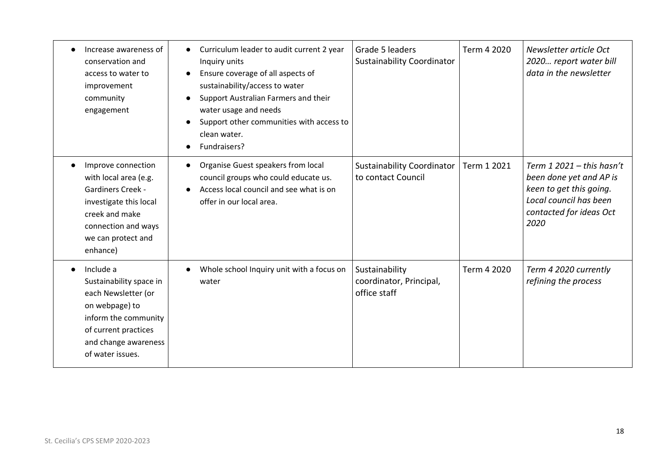| Increase awareness of<br>conservation and<br>access to water to<br>improvement<br>community<br>engagement                                                                    | Curriculum leader to audit current 2 year<br>$\bullet$<br>Inquiry units<br>Ensure coverage of all aspects of<br>sustainability/access to water<br>Support Australian Farmers and their<br>water usage and needs<br>Support other communities with access to<br>clean water.<br>Fundraisers? | Grade 5 leaders<br><b>Sustainability Coordinator</b>      | Term 4 2020 | Newsletter article Oct<br>2020 report water bill<br>data in the newsletter                                                                    |
|------------------------------------------------------------------------------------------------------------------------------------------------------------------------------|---------------------------------------------------------------------------------------------------------------------------------------------------------------------------------------------------------------------------------------------------------------------------------------------|-----------------------------------------------------------|-------------|-----------------------------------------------------------------------------------------------------------------------------------------------|
| Improve connection<br>with local area (e.g.<br><b>Gardiners Creek -</b><br>investigate this local<br>creek and make<br>connection and ways<br>we can protect and<br>enhance) | Organise Guest speakers from local<br>$\bullet$<br>council groups who could educate us.<br>Access local council and see what is on<br>offer in our local area.                                                                                                                              | <b>Sustainability Coordinator</b><br>to contact Council   | Term 1 2021 | Term $12021 -$ this hasn't<br>been done yet and AP is<br>keen to get this going.<br>Local council has been<br>contacted for ideas Oct<br>2020 |
| Include a<br>Sustainability space in<br>each Newsletter (or<br>on webpage) to<br>inform the community<br>of current practices<br>and change awareness<br>of water issues.    | Whole school Inquiry unit with a focus on<br>water                                                                                                                                                                                                                                          | Sustainability<br>coordinator, Principal,<br>office staff | Term 4 2020 | Term 4 2020 currently<br>refining the process                                                                                                 |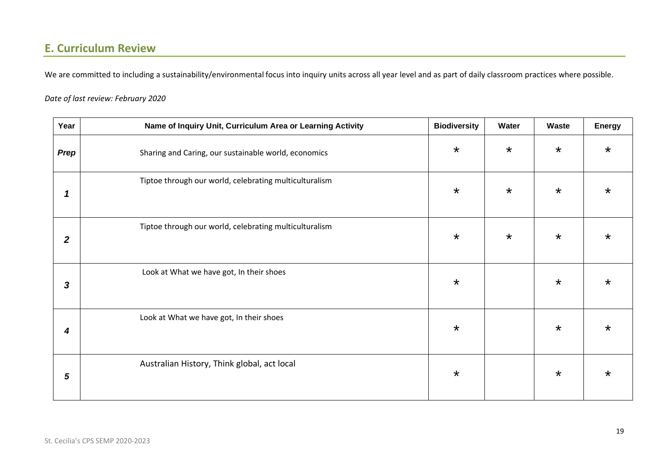## **E. Curriculum Review**

We are committed to including a sustainability/environmental focus into inquiry units across all year level and as part of daily classroom practices where possible.

#### *Date of last review: February 2020*

| Year             | Name of Inquiry Unit, Curriculum Area or Learning Activity | <b>Biodiversity</b> | Water   | <b>Waste</b> | <b>Energy</b> |
|------------------|------------------------------------------------------------|---------------------|---------|--------------|---------------|
| Prep             | Sharing and Caring, our sustainable world, economics       | $\star$             | $\star$ | $\star$      | $\star$       |
| $\mathbf 1$      | Tiptoe through our world, celebrating multiculturalism     | $\star$             | $\star$ | $\star$      | $\star$       |
| $\boldsymbol{2}$ | Tiptoe through our world, celebrating multiculturalism     | $\star$             | $\star$ | $\star$      | *             |
| $\boldsymbol{3}$ | Look at What we have got, In their shoes                   | $\star$             |         | $\star$      | *             |
| 4                | Look at What we have got, In their shoes                   | $\star$             |         | $\star$      | $\star$       |
| 5                | Australian History, Think global, act local                | $\star$             |         | $\star$      | $\star$       |